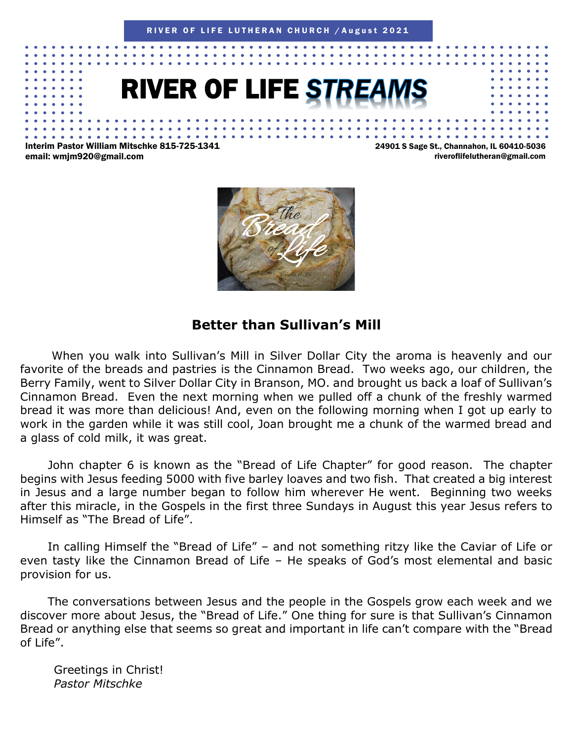# **RIVER OF LIFE ST**

Interim Pastor William Mitschke 815-725-1341 email: wmjm920@gmail.com

24901 S Sage St., Channahon, IL 60410-5036 riveroflifelutheran@gmail.com



### **Better than Sullivan's Mill**

When you walk into Sullivan's Mill in Silver Dollar City the aroma is heavenly and our favorite of the breads and pastries is the Cinnamon Bread. Two weeks ago, our children, the Berry Family, went to Silver Dollar City in Branson, MO. and brought us back a loaf of Sullivan's Cinnamon Bread. Even the next morning when we pulled off a chunk of the freshly warmed bread it was more than delicious! And, even on the following morning when I got up early to work in the garden while it was still cool, Joan brought me a chunk of the warmed bread and a glass of cold milk, it was great.

 John chapter 6 is known as the "Bread of Life Chapter" for good reason. The chapter begins with Jesus feeding 5000 with five barley loaves and two fish. That created a big interest in Jesus and a large number began to follow him wherever He went. Beginning two weeks after this miracle, in the Gospels in the first three Sundays in August this year Jesus refers to Himself as "The Bread of Life".

 In calling Himself the "Bread of Life" – and not something ritzy like the Caviar of Life or even tasty like the Cinnamon Bread of Life – He speaks of God's most elemental and basic provision for us.

 The conversations between Jesus and the people in the Gospels grow each week and we discover more about Jesus, the "Bread of Life." One thing for sure is that Sullivan's Cinnamon Bread or anything else that seems so great and important in life can't compare with the "Bread of Life".

Greetings in Christ! *Pastor Mitschke*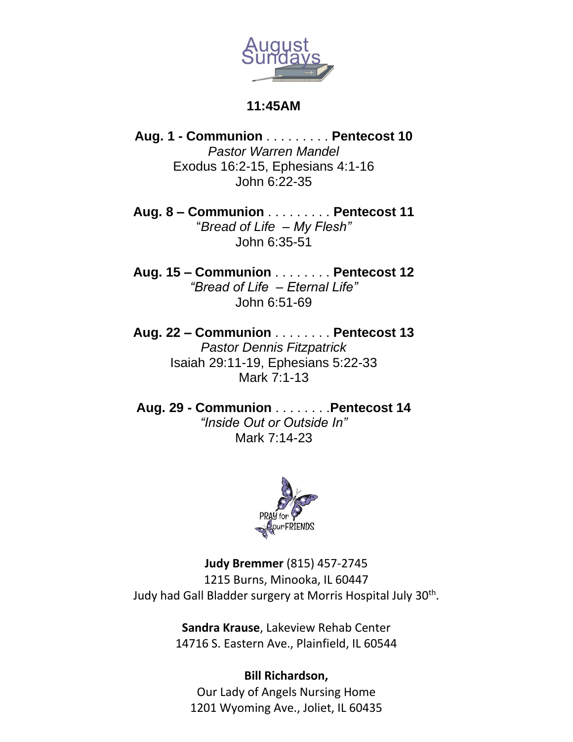

#### **11:45AM**

**Aug. 1 - Communion** . . . . . . . . . **Pentecost 10** *Pastor Warren Mandel* Exodus 16:2-15, Ephesians 4:1-16 John 6:22-35

**Aug. 8 – Communion** . . . . . . . . . **Pentecost 11** "*Bread of Life – My Flesh"* John 6:35-51

**Aug. 15 – Communion** . . . . . . . . **Pentecost 12** *"Bread of Life – Eternal Life"* John 6:51-69

**Aug. 22 – Communion** . . . . . . . . **Pentecost 13** *Pastor Dennis Fitzpatrick* Isaiah 29:11-19, Ephesians 5:22-33 Mark 7:1-13

**Aug. 29 - Communion** . . . . . . . .**Pentecost 14** *"Inside Out or Outside In"* Mark 7:14-23



**Judy Bremmer** (815) 457-2745 1215 Burns, Minooka, IL 60447 Judy had Gall Bladder surgery at Morris Hospital July 30<sup>th</sup>.

> **Sandra Krause**, Lakeview Rehab Center 14716 S. Eastern Ave., Plainfield, IL 60544

**Bill Richardson,**  Our Lady of Angels Nursing Home 1201 Wyoming Ave., Joliet, IL 60435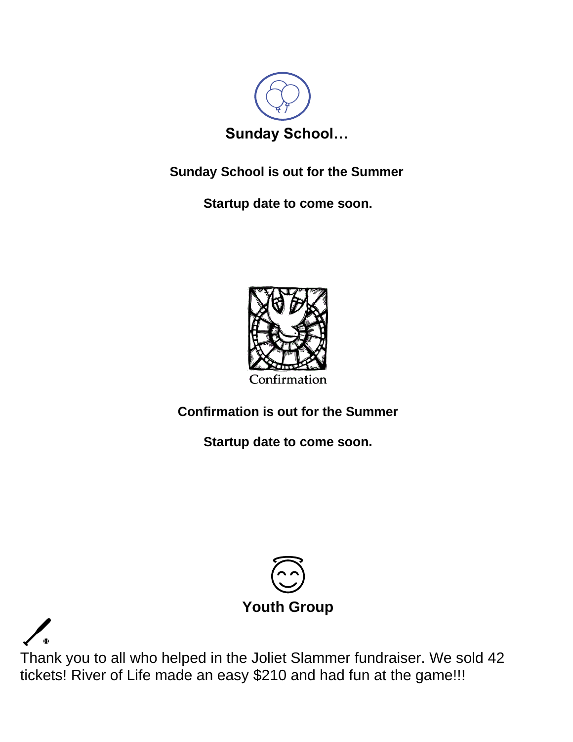

**Sunday School is out for the Summer**

**Startup date to come soon.**



**Confirmation is out for the Summer**

**Startup date to come soon.**



Thank you to all who helped in the Joliet Slammer fundraiser. We sold 42 tickets! River of Life made an easy \$210 and had fun at the game!!!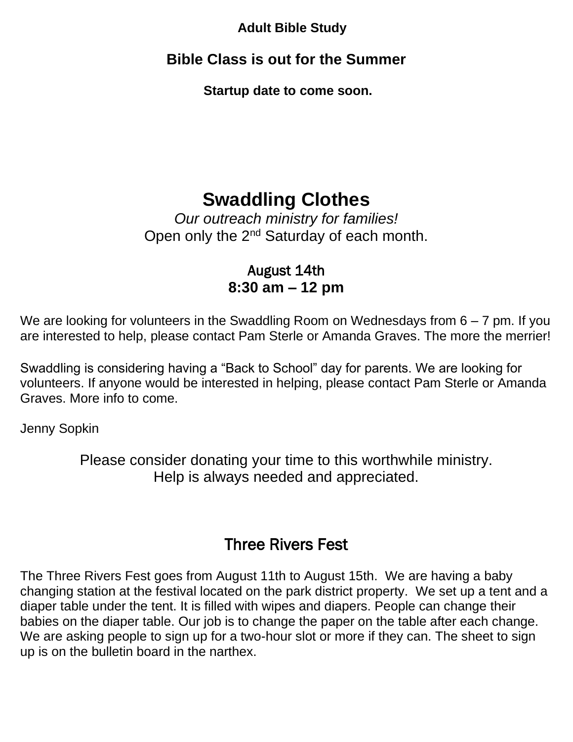**Adult Bible Study**

### **Bible Class is out for the Summer**

**Startup date to come soon.**

# **Swaddling Clothes**

*Our outreach ministry for families!* Open only the 2<sup>nd</sup> Saturday of each month.

### August 14th **8:30 am – 12 pm**

We are looking for volunteers in the Swaddling Room on Wednesdays from  $6 - 7$  pm. If you are interested to help, please contact Pam Sterle or Amanda Graves. The more the merrier!

Swaddling is considering having a "Back to School" day for parents. We are looking for volunteers. If anyone would be interested in helping, please contact Pam Sterle or Amanda Graves. More info to come.

Jenny Sopkin

Please consider donating your time to this worthwhile ministry. Help is always needed and appreciated.

## Three Rivers Fest

The Three Rivers Fest goes from August 11th to August 15th. We are having a baby changing station at the festival located on the park district property. We set up a tent and a diaper table under the tent. It is filled with wipes and diapers. People can change their babies on the diaper table. Our job is to change the paper on the table after each change. We are asking people to sign up for a two-hour slot or more if they can. The sheet to sign up is on the bulletin board in the narthex.